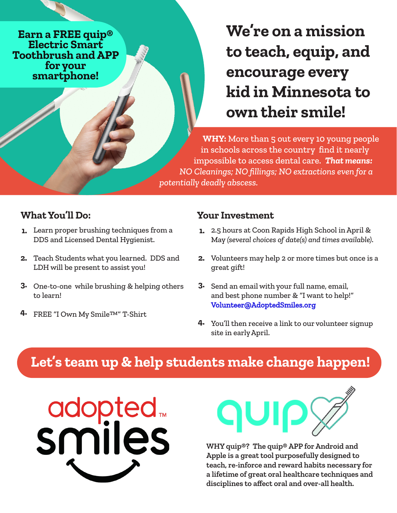**Earn a FREE quip® Electric Smart Toothbrush and APP**  smartphone!

**We're on a mission to teach, equip, and encourage every kid in Minnesota to own their smile!**

**WHY:** More than 5 out every 10 young people in schools across the country find it nearly impossible to access dental care. *That means: NO Cleanings; NO fillings; NO extractions even for a potentially deadly abscess.*

## **What You'll Do:**

- Learn proper brushing techniques from a **1.** DDS and Licensed Dental Hygienist.
- Teach Students what you learned. DDS and **2.** LDH will be present to assist you!
- One-to-one while brushing & helping others **3.** to learn!
- FREE "I Own My Smile™" T-Shirt **4.**

## **Your Investment**

- 2.5 hours at Coon Rapids High School in April & **1.** May *(several choices of date(s) and times available)*.
- Volunteers may help 2 or more times but once is a great gift! **2.**
- Send an email with your full name, email, and best phone number & "I want to help!" [Volunteer@AdoptedSmiles.org](mailto:Volunteer@AdoptedSmiles.org)  **3.**
- You'll then receive a link to our volunteer signup **4.** site in early April.

## **Let's team up & help students make change happen!**





**WHY quip®? The quip® APP for Android and Apple is a great tool purposefully designed to teach, re-inforce and reward habits necessary for a lifetime of great oral healthcare techniques and disciplines to affect oral and over-all health.**